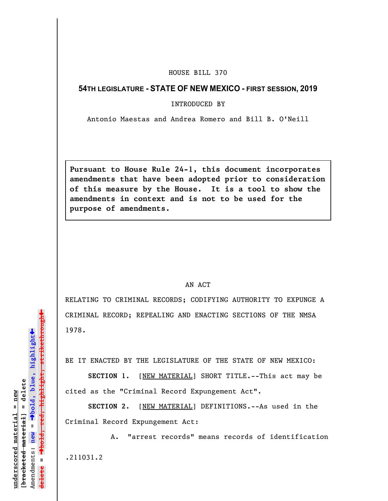## HOUSE BILL 370

## **54TH LEGISLATURE - STATE OF NEW MEXICO - FIRST SESSION, 2019**

INTRODUCED BY

Antonio Maestas and Andrea Romero and Bill B. O'Neill

**Pursuant to House Rule 24-1, this document incorporates amendments that have been adopted prior to consideration of this measure by the House. It is a tool to show the amendments in context and is not to be used for the purpose of amendments.** 

## AN ACT

RELATING TO CRIMINAL RECORDS; CODIFYING AUTHORITY TO EXPUNGE A CRIMINAL RECORD; REPEALING AND ENACTING SECTIONS OF THE NMSA 1978.

BE IT ENACTED BY THE LEGISLATURE OF THE STATE OF NEW MEXICO:

SECTION 1. [NEW MATERIAL] SHORT TITLE.--This act may be cited as the "Criminal Record Expungement Act".

**SECTION 2.** [NEW MATERIAL] DEFINITIONS.--As used in the Criminal Record Expungement Act:

A. "arrest records" means records of identification .211031.2

 $\ddag$ º**bold, red, highlight, strikethrough**  $\ddot{\bullet}$ º**bold, blue, highlight**  $[$ bracketed material] = delete **[bracketed material] = delete** inderscored material = new **underscored material = new** Amendments: **new** =  $\mathbf{I}$ **delete =** lelete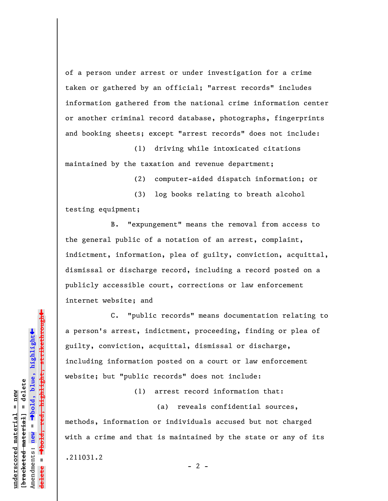of a person under arrest or under investigation for a crime taken or gathered by an official; "arrest records" includes information gathered from the national crime information center or another criminal record database, photographs, fingerprints and booking sheets; except "arrest records" does not include:

(1) driving while intoxicated citations maintained by the taxation and revenue department;

(2) computer-aided dispatch information; or

(3) log books relating to breath alcohol testing equipment;

B. "expungement" means the removal from access to the general public of a notation of an arrest, complaint, indictment, information, plea of guilty, conviction, acquittal, dismissal or discharge record, including a record posted on a publicly accessible court, corrections or law enforcement internet website; and

C. "public records" means documentation relating to a person's arrest, indictment, proceeding, finding or plea of guilty, conviction, acquittal, dismissal or discharge, including information posted on a court or law enforcement website; but "public records" does not include:

(1) arrest record information that:

(a) reveals confidential sources,

methods, information or individuals accused but not charged with a crime and that is maintained by the state or any of its

 $- 2 -$ 

.211031.2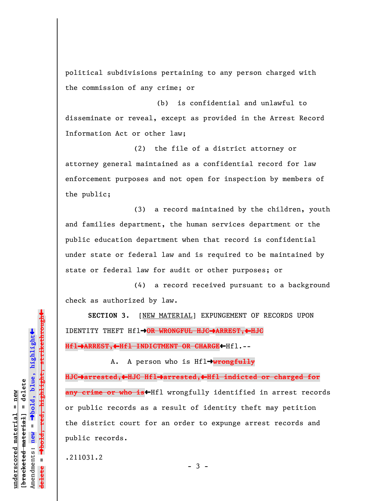political subdivisions pertaining to any person charged with the commission of any crime; or

(b) is confidential and unlawful to disseminate or reveal, except as provided in the Arrest Record Information Act or other law;

(2) the file of a district attorney or attorney general maintained as a confidential record for law enforcement purposes and not open for inspection by members of the public;

(3) a record maintained by the children, youth and families department, the human services department or the public education department when that record is confidential under state or federal law and is required to be maintained by state or federal law for audit or other purposes; or

(4) a record received pursuant to a background check as authorized by law.

**SECTION 3.** [NEW MATERIAL] EXPUNGEMENT OF RECORDS UPON IDENTITY THEFT Hflº**OR WRONGFUL HJC**º**ARREST,**»**HJC**

**Hfl**º**ARREST,**»**Hfl INDICTMENT OR CHARGE**»Hfl.--

A. A person who is Hfl→wrongfully **HJC**º**arrested,**»**HJC Hfl**º**arrested,**»**Hfl indicted or charged for** any crime or who is<sup>t</sup>Hfl wrongfully identified in arrest records or public records as a result of identity theft may petition the district court for an order to expunge arrest records and public records.

 $-3 -$ 

.211031.2

 $\ddag$ º**bold, red, highlight, strikethrough**  $\ddot{\bullet}$ º**bold, blue, highlight** bracketed material] = delete **[bracketed material] = delete** inderscored material = new **underscored material = new** Amendments: **new** =  $\mathbf{I}$ Amendments: new **delete =**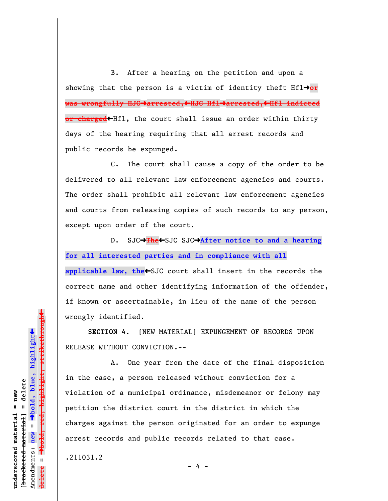B. After a hearing on the petition and upon a showing that the person is a victim of identity theft  $Hf1 \rightarrow or$ **was wrongfully HJC**º**arrested,**»**HJC Hfl**º**arrested,**»**Hfl indicted** or charged<Hfl, the court shall issue an order within thirty days of the hearing requiring that all arrest records and public records be expunged.

C. The court shall cause a copy of the order to be delivered to all relevant law enforcement agencies and courts. The order shall prohibit all relevant law enforcement agencies and courts from releasing copies of such records to any person, except upon order of the court.

D. SJC→The←SJC SJC→After notice to and a hearing **for all interested parties and in compliance with all** applicable law, the<sup>+</sup>SJC court shall insert in the records the correct name and other identifying information of the offender, if known or ascertainable, in lieu of the name of the person wrongly identified.

**SECTION 4.** [NEW MATERIAL] EXPUNGEMENT OF RECORDS UPON RELEASE WITHOUT CONVICTION.--

A. One year from the date of the final disposition in the case, a person released without conviction for a violation of a municipal ordinance, misdemeanor or felony may petition the district court in the district in which the charges against the person originated for an order to expunge arrest records and public records related to that case.

.211031.2

 $\ddag$ º**bold, red, highlight, strikethrough**  $\ddot{\bullet}$ º**bold, blue, highlight** bracketed material] = delete **[bracketed material] = delete** inderscored material = new **underscored material = new** Amendments: **new** =  $\mathbf{I}$ Amendments: new **delete =**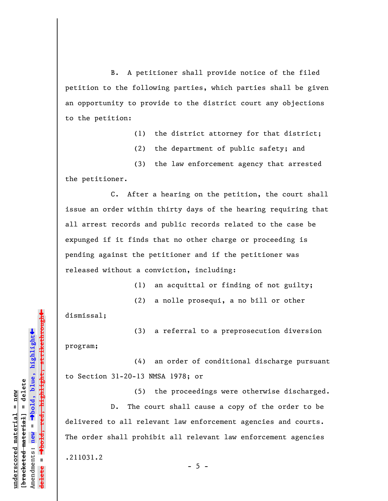B. A petitioner shall provide notice of the filed petition to the following parties, which parties shall be given an opportunity to provide to the district court any objections to the petition:

(1) the district attorney for that district;

(2) the department of public safety; and

(3) the law enforcement agency that arrested the petitioner.

C. After a hearing on the petition, the court shall issue an order within thirty days of the hearing requiring that all arrest records and public records related to the case be expunged if it finds that no other charge or proceeding is pending against the petitioner and if the petitioner was released without a conviction, including:

(1) an acquittal or finding of not guilty;

(2) a nolle prosequi, a no bill or other

dismissal;

(3) a referral to a preprosecution diversion program;

(4) an order of conditional discharge pursuant to Section 31-20-13 NMSA 1978; or

(5) the proceedings were otherwise discharged. D. The court shall cause a copy of the order to be delivered to all relevant law enforcement agencies and courts. The order shall prohibit all relevant law enforcement agencies

 $- 5 -$ 

.211031.2

º**bold, red, highlight, strikethrough** <del>highlight, strikethrou</del>  $\ddot{\bullet}$ º**bold, blue, highlight** bracketed material] = delete **[bracketed material] = delete** inderscored material = new **underscored material = new** Amendments: **new** =  $\mathbf{I}$ Amendments: new **delete =**

»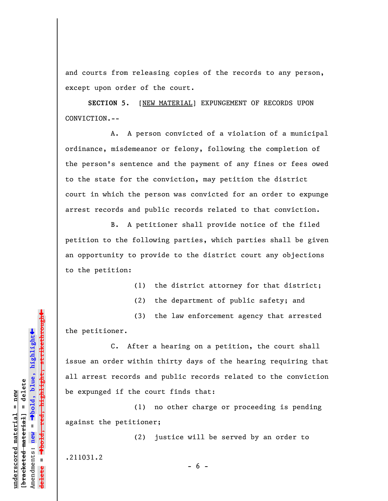and courts from releasing copies of the records to any person, except upon order of the court.

**SECTION 5.** [NEW MATERIAL] EXPUNGEMENT OF RECORDS UPON CONVICTION.--

A. A person convicted of a violation of a municipal ordinance, misdemeanor or felony, following the completion of the person's sentence and the payment of any fines or fees owed to the state for the conviction, may petition the district court in which the person was convicted for an order to expunge arrest records and public records related to that conviction.

B. A petitioner shall provide notice of the filed petition to the following parties, which parties shall be given an opportunity to provide to the district court any objections to the petition:

(1) the district attorney for that district;

(2) the department of public safety; and

(3) the law enforcement agency that arrested the petitioner.

C. After a hearing on a petition, the court shall issue an order within thirty days of the hearing requiring that all arrest records and public records related to the conviction be expunged if the court finds that:

(1) no other charge or proceeding is pending against the petitioner;

(2) justice will be served by an order to

.211031.2

**underscored material = new [bracketed material] = delete**

bracketed material] = delete inderscored material = new

Amendments: **new** =

Amendments: new

 $\mathbf{I}$ 

**delete =**

º**bold, blue, highlight**

º**bold, red, highlight, strikethrough**

<del>highlight, strikethrou</del>

 $\ddot{\bullet}$ 

»

 $- 6 -$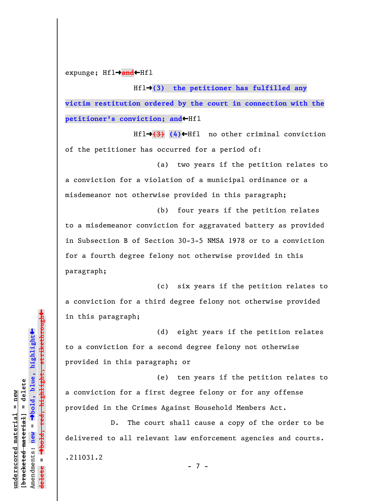expunge; Hfl→and←Hfl

Hfl→(3) the petitioner has fulfilled any **victim restitution ordered by the court in connection with the** petitioner's conviction; and **+Hfl** 

Hfl→(3) (4)←Hfl no other criminal conviction of the petitioner has occurred for a period of:

(a) two years if the petition relates to a conviction for a violation of a municipal ordinance or a misdemeanor not otherwise provided in this paragraph;

(b) four years if the petition relates to a misdemeanor conviction for aggravated battery as provided in Subsection B of Section 30-3-5 NMSA 1978 or to a conviction for a fourth degree felony not otherwise provided in this paragraph;

(c) six years if the petition relates to a conviction for a third degree felony not otherwise provided in this paragraph;

(d) eight years if the petition relates to a conviction for a second degree felony not otherwise provided in this paragraph; or

(e) ten years if the petition relates to a conviction for a first degree felony or for any offense provided in the Crimes Against Household Members Act.

D. The court shall cause a copy of the order to be delivered to all relevant law enforcement agencies and courts.

.211031.2

- 7 -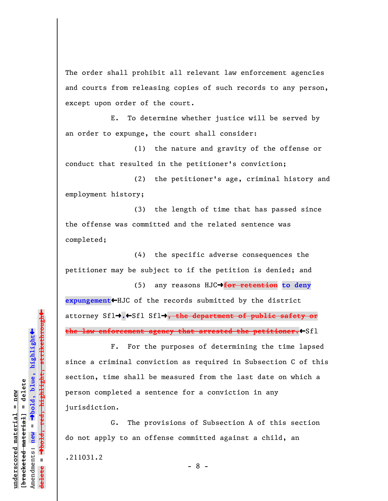The order shall prohibit all relevant law enforcement agencies and courts from releasing copies of such records to any person, except upon order of the court.

E. To determine whether justice will be served by an order to expunge, the court shall consider:

(1) the nature and gravity of the offense or conduct that resulted in the petitioner's conviction;

(2) the petitioner's age, criminal history and employment history;

(3) the length of time that has passed since the offense was committed and the related sentence was completed;

(4) the specific adverse consequences the petitioner may be subject to if the petition is denied; and

(5) any reasons HJC→for retention to deny **expungement**»HJC of the records submitted by the district attorney Sfl<sup>+</sup>.<sup>+</sup>Sfl Sfl<sup>+</sup>, the department of public safety or the law enforcement agency that arrested the petitioner.<sup>4</sup>Sfl

F. For the purposes of determining the time lapsed since a criminal conviction as required in Subsection C of this section, time shall be measured from the last date on which a person completed a sentence for a conviction in any jurisdiction.

G. The provisions of Subsection A of this section do not apply to an offense committed against a child, an

.211031.2

**underscored material = new [bracketed material] = delete**

bracketed material] = delete inderscored material = new

Amendments: **new** =

Amendments: new

 $\mathbf{u}$ 

**delete =**

º**bold, blue, highlight**

º**bold, red, highlight, strikethrough**

 $\ddot{\bullet}$ 

 $\ddag$ 

- 8 -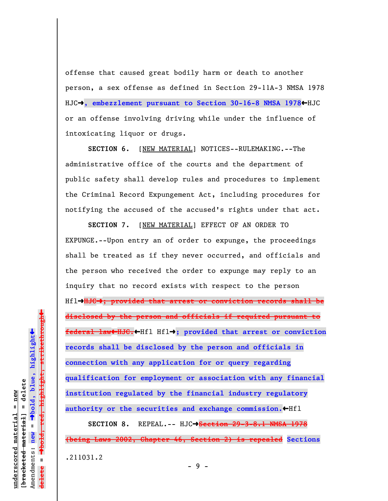offense that caused great bodily harm or death to another person, a sex offense as defined in Section 29-11A-3 NMSA 1978 HJC→, embezzlement pursuant to Section 30-16-8 NMSA 1978←HJC or an offense involving driving while under the influence of intoxicating liquor or drugs.

**SECTION 6.** [NEW MATERIAL] NOTICES--RULEMAKING.--The administrative office of the courts and the department of public safety shall develop rules and procedures to implement the Criminal Record Expungement Act, including procedures for notifying the accused of the accused's rights under that act.

**SECTION 7.** [NEW MATERIAL] EFFECT OF AN ORDER TO EXPUNGE.--Upon entry an of order to expunge, the proceedings shall be treated as if they never occurred, and officials and the person who received the order to expunge may reply to an inquiry that no record exists with respect to the person Hflº**HJC**º**; provided that arrest or conviction records shall be disclosed by the person and officials if required pursuant to federal law**»**HJC.**»Hfl Hflº**; provided that arrest or conviction records shall be disclosed by the person and officials in connection with any application for or query regarding qualification for employment or association with any financial institution regulated by the financial industry regulatory** authority or the securities and exchange commission.<sup>«Hfl</sup>

**SECTION 8.** REPEAL.-- HJCº**Section 29-3-8.1 NMSA 1978 (being Laws 2002, Chapter 46, Section 2) is repealed Sections** .211031.2